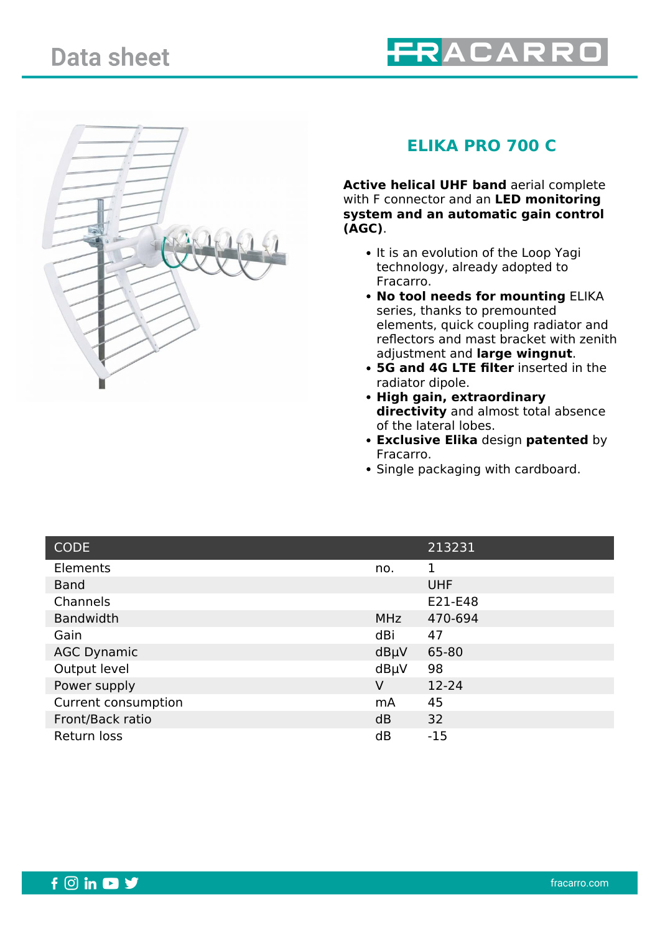



## **ELIKA PRO 700 C**

**Active helical UHF band** aerial complete with F connector and an **LED monitoring system and an automatic gain control (AGC)**.

- It is an evolution of the Loop Yagi technology, already adopted to Fracarro.
- **No tool needs for mounting** ELIKA series, thanks to premounted elements, quick coupling radiator and reflectors and mast bracket with zenith adjustment and **large wingnut**.
- **5G and 4G LTE filter** inserted in the radiator dipole.
- **High gain, extraordinary directivity** and almost total absence of the lateral lobes.
- **Exclusive Elika** design **patented** by Fracarro.
- Single packaging with cardboard.

| <b>CODE</b>         |                | 213231     |
|---------------------|----------------|------------|
| Elements            | no.            | 1          |
| <b>Band</b>         |                | <b>UHF</b> |
| Channels            |                | E21-E48    |
| <b>Bandwidth</b>    | <b>MHz</b>     | 470-694    |
| Gain                | dBi            | 47         |
| <b>AGC Dynamic</b>  | $dB\mu V$      | 65-80      |
| Output level        | dBµV           | 98         |
| Power supply        | V              | 12-24      |
| Current consumption | m <sub>A</sub> | 45         |
| Front/Back ratio    | dB             | 32         |
| Return loss         | dB             | $-15$      |

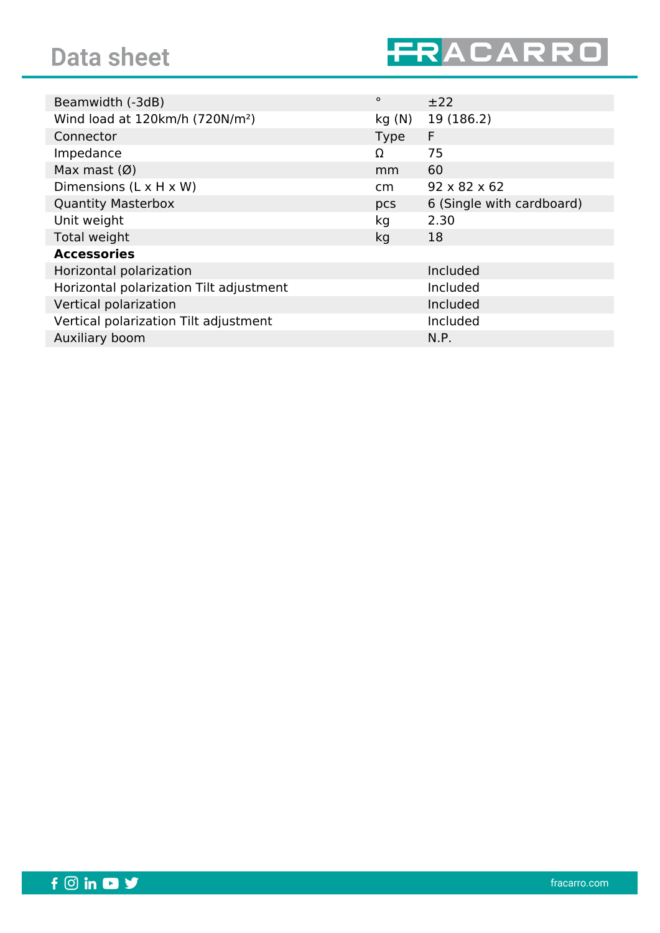

| $\circ$         | ±22                       |
|-----------------|---------------------------|
| kg(N)           | 19 (186.2)                |
| <b>Type</b>     | F                         |
| Ω               | 75                        |
| mm              | 60                        |
| cm <sub>2</sub> | $92 \times 82 \times 62$  |
| pcs             | 6 (Single with cardboard) |
| kg              | 2.30                      |
| kg              | 18                        |
|                 |                           |
|                 | Included                  |
|                 | Included                  |
|                 | Included                  |
|                 | Included                  |
|                 | N.P.                      |
|                 |                           |